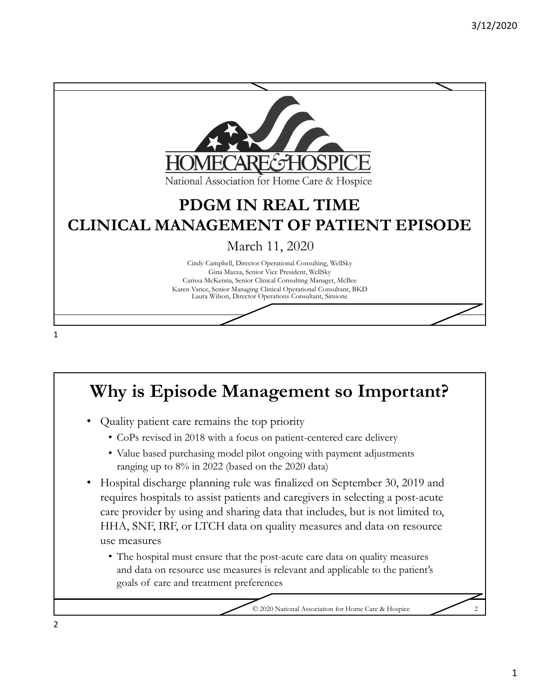

## **Why is Episode Management so Important?**

- Quality patient care remains the top priority
	- CoPs revised in 2018 with a focus on patient-centered care delivery
	- Value based purchasing model pilot ongoing with payment adjustments ranging up to 8% in 2022 (based on the 2020 data)
- Hospital discharge planning rule was finalized on September 30, 2019 and requires hospitals to assist patients and caregivers in selecting a post-acute care provider by using and sharing data that includes, but is not limited to, HHA, SNF, IRF, or LTCH data on quality measures and data on resource use measures
	- The hospital must ensure that the post-acute care data on quality measures and data on resource use measures is relevant and applicable to the patient's goals of care and treatment preferences

© 2020 National Association for Home Care & Hospice 2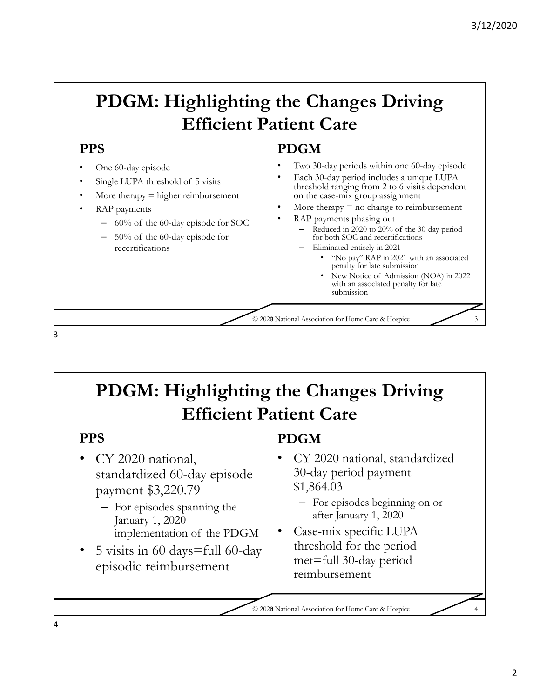## **PDGM: Highlighting the Changes Driving Efficient Patient Care**

### **PPS**

- One 60-day episode
- Single LUPA threshold of 5 visits
- More therapy  $=$  higher reimbursement
- RAP payments
	- 60% of the 60-day episode for SOC
	- 50% of the 60-day episode for recertifications

### **PDGM**

- Two 30-day periods within one 60-day episode
- Each 30-day period includes a unique LUPA threshold ranging from 2 to 6 visits dependent on the case-mix group assignment
- More therapy  $=$  no change to reimbursement
- RAP payments phasing out
	- Reduced in 2020 to 20% of the 30-day period for both SOC and recertifications
	- Eliminated entirely in 2021
		- "No pay" RAP in 2021 with an associated penalty for late submission
		- New Notice of Admission (NOA) in 2022 with an associated penalty for late submission

© 2020 National Association for Home Care & Hospice 3 3

## **PDGM: Highlighting the Changes Driving Efficient Patient Care**

### **PPS**

3

- CY 2020 national, standardized 60-day episode payment \$3,220.79
	- For episodes spanning the January 1, 2020 implementation of the PDGM
- 5 visits in 60 days=full 60-day episodic reimbursement

### **PDGM**

- CY 2020 national, standardized 30-day period payment \$1,864.03
	- For episodes beginning on or after January 1, 2020
- Case-mix specific LUPA threshold for the period met=full 30-day period reimbursement

© 2020 National Association for Home Care & Hospice 4 4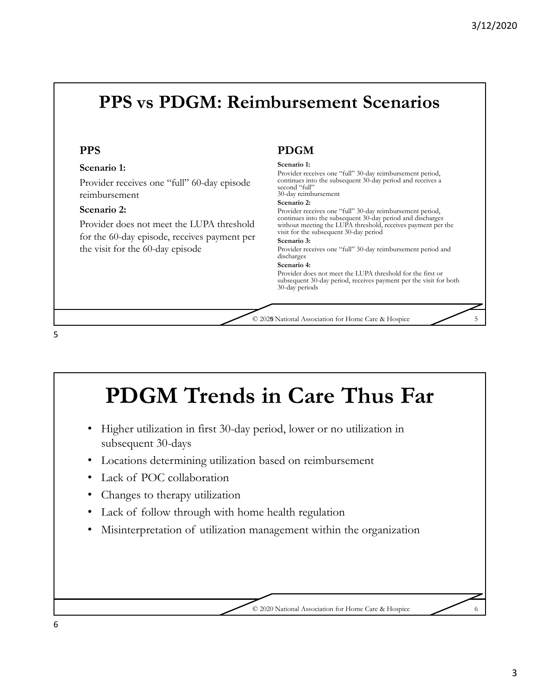## **PPS vs PDGM: Reimbursement Scenarios**

#### **PPS**

#### **Scenario 1:**

Provider receives one "full" 60-day episode reimbursement

#### **Scenario 2:**

Provider does not meet the LUPA threshold for the 60-day episode, receives payment per the visit for the 60-day episode

#### **PDGM**

#### **Scenario 1:**

Provider receives one "full" 30-day reimbursement period, continues into the subsequent 30-day period and receives a second "full"

#### 30-day reimbursement

**Scenario 2:**

Provider receives one "full" 30-day reimbursement period, continues into the subsequent 30-day period and discharges without meeting the LUPA threshold, receives payment per the visit for the subsequent 30-day period

#### **Scenario 3:**

Provider receives one "full" 30-day reimbursement period and discharges

#### **Scenario 4:**

Provider does not meet the LUPA threshold for the first or subsequent 30-day period, receives payment per the visit for both 30-day periods

© 2020 National Association for Home Care & Hospice 5 5

5



6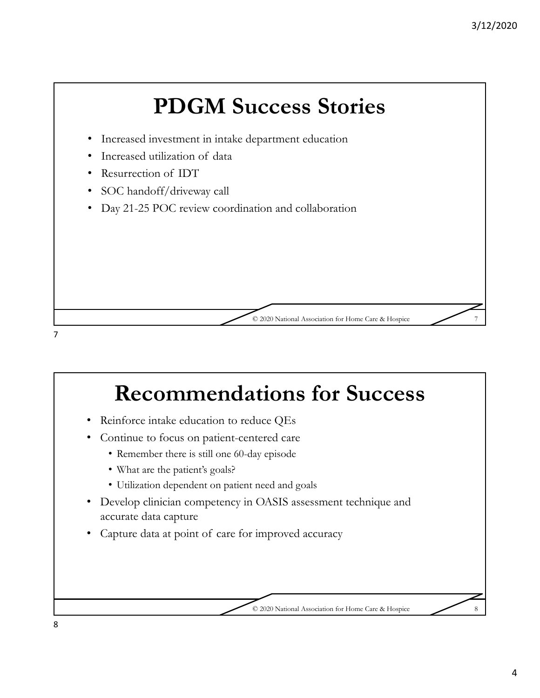

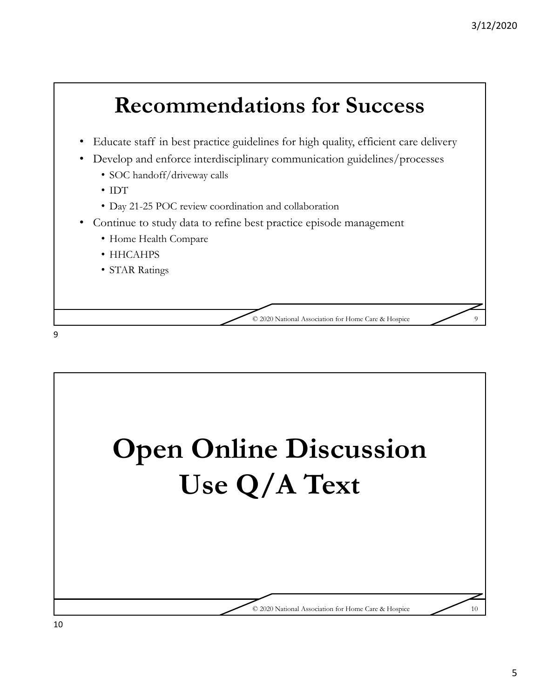

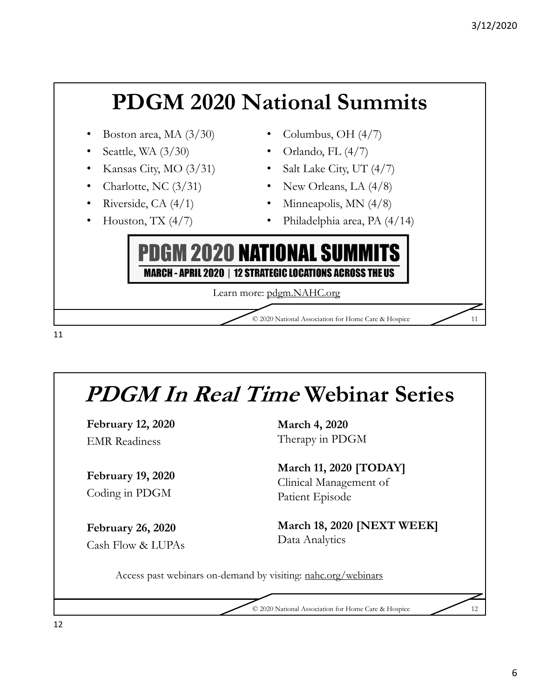

# **PDGM In Real Time Webinar Series**

**February 12, 2020** EMR Readiness

**February 19, 2020** Coding in PDGM

**February 26, 2020** Cash Flow & LUPAs **March 4, 2020** Therapy in PDGM

**March 11, 2020 [TODAY]** Clinical Management of Patient Episode

**March 18, 2020 [NEXT WEEK]** Data Analytics

Access past webinars on-demand by visiting: nahc.org/webinars

© 2020 National Association for Home Care & Hospice 12